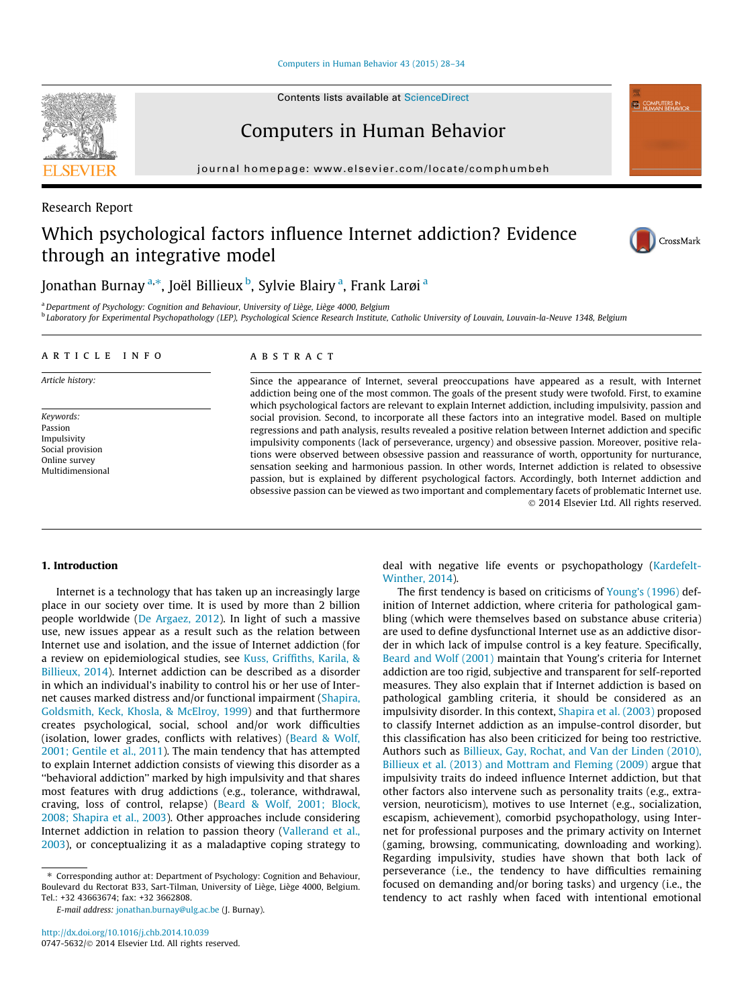#### [Computers in Human Behavior 43 \(2015\) 28–34](http://dx.doi.org/10.1016/j.chb.2014.10.039)

Contents lists available at [ScienceDirect](http://www.sciencedirect.com/science/journal/07475632)

## Computers in Human Behavior

journal homepage: [www.elsevier.com/locate/comphumbeh](http://www.elsevier.com/locate/comphumbeh)

# Which psychological factors influence Internet addiction? Evidence through an integrative model



**ED COMPUTERS IN** 

Jonathan Burnay <sup>a,</sup>\*, Joël Billieux <sup>b</sup>, Sylvie Blairy <sup>a</sup>, Frank Larøi <sup>a</sup>

<sup>a</sup> Department of Psychology: Cognition and Behaviour, University of Liège, Liège 4000, Belgium <sup>b</sup> Laboratory for Experimental Psychopathology (LEP), Psychological Science Research Institute, Catholic University of Louvain, Louvain-la-Neuve 1348, Belgium

#### article info

Article history:

Keywords: Passion Impulsivity Social provision Online survey Multidimensional

#### ABSTRACT

Since the appearance of Internet, several preoccupations have appeared as a result, with Internet addiction being one of the most common. The goals of the present study were twofold. First, to examine which psychological factors are relevant to explain Internet addiction, including impulsivity, passion and social provision. Second, to incorporate all these factors into an integrative model. Based on multiple regressions and path analysis, results revealed a positive relation between Internet addiction and specific impulsivity components (lack of perseverance, urgency) and obsessive passion. Moreover, positive relations were observed between obsessive passion and reassurance of worth, opportunity for nurturance, sensation seeking and harmonious passion. In other words, Internet addiction is related to obsessive passion, but is explained by different psychological factors. Accordingly, both Internet addiction and obsessive passion can be viewed as two important and complementary facets of problematic Internet use. - 2014 Elsevier Ltd. All rights reserved.

## 1. Introduction

Internet is a technology that has taken up an increasingly large place in our society over time. It is used by more than 2 billion people worldwide [\(De Argaez, 2012\)](#page-6-0). In light of such a massive use, new issues appear as a result such as the relation between Internet use and isolation, and the issue of Internet addiction (for a review on epidemiological studies, see [Kuss, Griffiths, Karila, &](#page-6-0) [Billieux, 2014](#page-6-0)). Internet addiction can be described as a disorder in which an individual's inability to control his or her use of Internet causes marked distress and/or functional impairment ([Shapira,](#page-6-0) [Goldsmith, Keck, Khosla, & McElroy, 1999](#page-6-0)) and that furthermore creates psychological, social, school and/or work difficulties (isolation, lower grades, conflicts with relatives) ([Beard & Wolf,](#page-6-0) [2001; Gentile et al., 2011\)](#page-6-0). The main tendency that has attempted to explain Internet addiction consists of viewing this disorder as a ''behavioral addiction'' marked by high impulsivity and that shares most features with drug addictions (e.g., tolerance, withdrawal, craving, loss of control, relapse) ([Beard & Wolf, 2001; Block,](#page-6-0) [2008; Shapira et al., 2003](#page-6-0)). Other approaches include considering Internet addiction in relation to passion theory ([Vallerand et al.,](#page-6-0) [2003\)](#page-6-0), or conceptualizing it as a maladaptive coping strategy to

E-mail address: [jonathan.burnay@ulg.ac.be](mailto:jonathan.burnay@ulg.ac.be) (J. Burnay).

deal with negative life events or psychopathology ([Kardefelt-](#page-6-0)[Winther, 2014\)](#page-6-0).

The first tendency is based on criticisms of [Young's \(1996\)](#page-6-0) definition of Internet addiction, where criteria for pathological gambling (which were themselves based on substance abuse criteria) are used to define dysfunctional Internet use as an addictive disorder in which lack of impulse control is a key feature. Specifically, [Beard and Wolf \(2001\)](#page-6-0) maintain that Young's criteria for Internet addiction are too rigid, subjective and transparent for self-reported measures. They also explain that if Internet addiction is based on pathological gambling criteria, it should be considered as an impulsivity disorder. In this context, [Shapira et al. \(2003\)](#page-6-0) proposed to classify Internet addiction as an impulse-control disorder, but this classification has also been criticized for being too restrictive. Authors such as [Billieux, Gay, Rochat, and Van der Linden \(2010\),](#page-6-0) [Billieux et al. \(2013\) and Mottram and Fleming \(2009\)](#page-6-0) argue that impulsivity traits do indeed influence Internet addiction, but that other factors also intervene such as personality traits (e.g., extraversion, neuroticism), motives to use Internet (e.g., socialization, escapism, achievement), comorbid psychopathology, using Internet for professional purposes and the primary activity on Internet (gaming, browsing, communicating, downloading and working). Regarding impulsivity, studies have shown that both lack of perseverance (i.e., the tendency to have difficulties remaining focused on demanding and/or boring tasks) and urgency (i.e., the tendency to act rashly when faced with intentional emotional



Research Report

<sup>⇑</sup> Corresponding author at: Department of Psychology: Cognition and Behaviour, Boulevard du Rectorat B33, Sart-Tilman, University of Liège, Liège 4000, Belgium. Tel.: +32 43663674; fax: +32 3662808.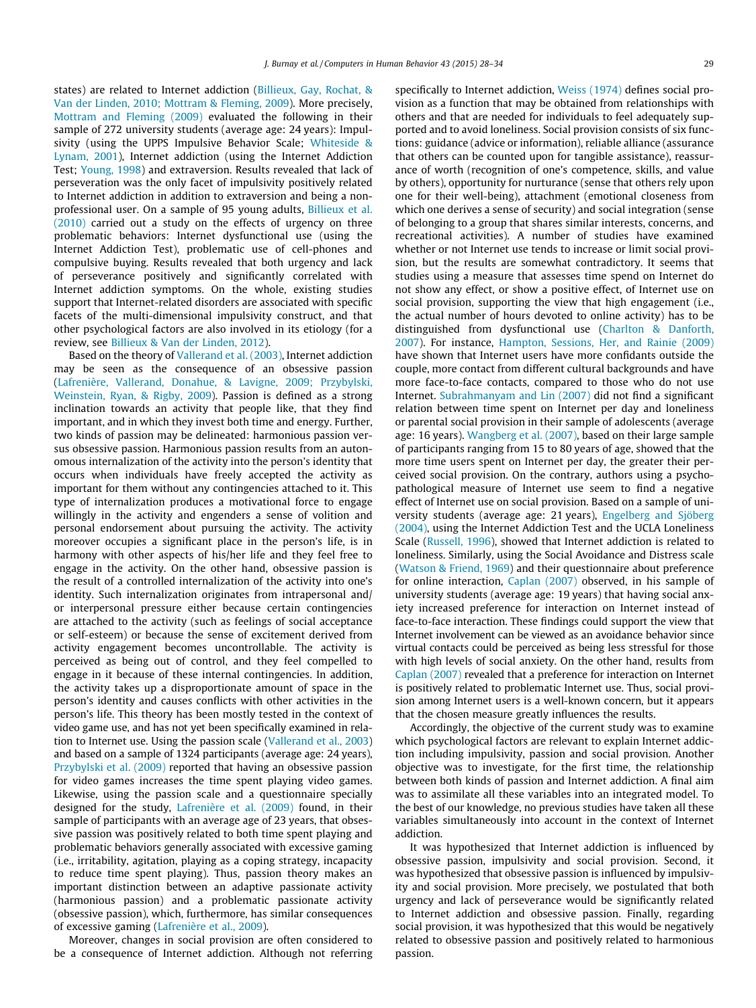states) are related to Internet addiction [\(Billieux, Gay, Rochat, &](#page-6-0) [Van der Linden, 2010; Mottram & Fleming, 2009\)](#page-6-0). More precisely, [Mottram and Fleming \(2009\)](#page-6-0) evaluated the following in their sample of 272 university students (average age: 24 years): Impulsivity (using the UPPS Impulsive Behavior Scale; [Whiteside &](#page-6-0) [Lynam, 2001](#page-6-0)), Internet addiction (using the Internet Addiction Test; [Young, 1998](#page-6-0)) and extraversion. Results revealed that lack of perseveration was the only facet of impulsivity positively related to Internet addiction in addition to extraversion and being a nonprofessional user. On a sample of 95 young adults, [Billieux et al.](#page-6-0) [\(2010\)](#page-6-0) carried out a study on the effects of urgency on three problematic behaviors: Internet dysfunctional use (using the Internet Addiction Test), problematic use of cell-phones and compulsive buying. Results revealed that both urgency and lack of perseverance positively and significantly correlated with Internet addiction symptoms. On the whole, existing studies support that Internet-related disorders are associated with specific facets of the multi-dimensional impulsivity construct, and that other psychological factors are also involved in its etiology (for a review, see [Billieux & Van der Linden, 2012](#page-6-0)).

Based on the theory of [Vallerand et al. \(2003\)](#page-6-0), Internet addiction may be seen as the consequence of an obsessive passion ([Lafrenière, Vallerand, Donahue, & Lavigne, 2009; Przybylski,](#page-6-0) [Weinstein, Ryan, & Rigby, 2009\)](#page-6-0). Passion is defined as a strong inclination towards an activity that people like, that they find important, and in which they invest both time and energy. Further, two kinds of passion may be delineated: harmonious passion versus obsessive passion. Harmonious passion results from an autonomous internalization of the activity into the person's identity that occurs when individuals have freely accepted the activity as important for them without any contingencies attached to it. This type of internalization produces a motivational force to engage willingly in the activity and engenders a sense of volition and personal endorsement about pursuing the activity. The activity moreover occupies a significant place in the person's life, is in harmony with other aspects of his/her life and they feel free to engage in the activity. On the other hand, obsessive passion is the result of a controlled internalization of the activity into one's identity. Such internalization originates from intrapersonal and/ or interpersonal pressure either because certain contingencies are attached to the activity (such as feelings of social acceptance or self-esteem) or because the sense of excitement derived from activity engagement becomes uncontrollable. The activity is perceived as being out of control, and they feel compelled to engage in it because of these internal contingencies. In addition, the activity takes up a disproportionate amount of space in the person's identity and causes conflicts with other activities in the person's life. This theory has been mostly tested in the context of video game use, and has not yet been specifically examined in relation to Internet use. Using the passion scale [\(Vallerand et al., 2003\)](#page-6-0) and based on a sample of 1324 participants (average age: 24 years), [Przybylski et al. \(2009\)](#page-6-0) reported that having an obsessive passion for video games increases the time spent playing video games. Likewise, using the passion scale and a questionnaire specially designed for the study, [Lafrenière et al. \(2009\)](#page-6-0) found, in their sample of participants with an average age of 23 years, that obsessive passion was positively related to both time spent playing and problematic behaviors generally associated with excessive gaming (i.e., irritability, agitation, playing as a coping strategy, incapacity to reduce time spent playing). Thus, passion theory makes an important distinction between an adaptive passionate activity (harmonious passion) and a problematic passionate activity (obsessive passion), which, furthermore, has similar consequences of excessive gaming [\(Lafrenière et al., 2009\)](#page-6-0).

Moreover, changes in social provision are often considered to be a consequence of Internet addiction. Although not referring specifically to Internet addiction, [Weiss \(1974\)](#page-6-0) defines social provision as a function that may be obtained from relationships with others and that are needed for individuals to feel adequately supported and to avoid loneliness. Social provision consists of six functions: guidance (advice or information), reliable alliance (assurance that others can be counted upon for tangible assistance), reassurance of worth (recognition of one's competence, skills, and value by others), opportunity for nurturance (sense that others rely upon one for their well-being), attachment (emotional closeness from which one derives a sense of security) and social integration (sense of belonging to a group that shares similar interests, concerns, and recreational activities). A number of studies have examined whether or not Internet use tends to increase or limit social provision, but the results are somewhat contradictory. It seems that studies using a measure that assesses time spend on Internet do not show any effect, or show a positive effect, of Internet use on social provision, supporting the view that high engagement (i.e., the actual number of hours devoted to online activity) has to be distinguished from dysfunctional use [\(Charlton & Danforth,](#page-6-0) [2007](#page-6-0)). For instance, [Hampton, Sessions, Her, and Rainie \(2009\)](#page-6-0) have shown that Internet users have more confidants outside the couple, more contact from different cultural backgrounds and have more face-to-face contacts, compared to those who do not use Internet. [Subrahmanyam and Lin \(2007\)](#page-6-0) did not find a significant relation between time spent on Internet per day and loneliness or parental social provision in their sample of adolescents (average age: 16 years). [Wangberg et al. \(2007\),](#page-6-0) based on their large sample of participants ranging from 15 to 80 years of age, showed that the more time users spent on Internet per day, the greater their perceived social provision. On the contrary, authors using a psychopathological measure of Internet use seem to find a negative effect of Internet use on social provision. Based on a sample of university students (average age: 21 years), [Engelberg and Sjöberg](#page-6-0) [\(2004\)](#page-6-0), using the Internet Addiction Test and the UCLA Loneliness Scale ([Russell, 1996\)](#page-6-0), showed that Internet addiction is related to loneliness. Similarly, using the Social Avoidance and Distress scale ([Watson & Friend, 1969\)](#page-6-0) and their questionnaire about preference for online interaction, [Caplan \(2007\)](#page-6-0) observed, in his sample of university students (average age: 19 years) that having social anxiety increased preference for interaction on Internet instead of face-to-face interaction. These findings could support the view that Internet involvement can be viewed as an avoidance behavior since virtual contacts could be perceived as being less stressful for those with high levels of social anxiety. On the other hand, results from [Caplan \(2007\)](#page-6-0) revealed that a preference for interaction on Internet is positively related to problematic Internet use. Thus, social provision among Internet users is a well-known concern, but it appears that the chosen measure greatly influences the results.

Accordingly, the objective of the current study was to examine which psychological factors are relevant to explain Internet addiction including impulsivity, passion and social provision. Another objective was to investigate, for the first time, the relationship between both kinds of passion and Internet addiction. A final aim was to assimilate all these variables into an integrated model. To the best of our knowledge, no previous studies have taken all these variables simultaneously into account in the context of Internet addiction.

It was hypothesized that Internet addiction is influenced by obsessive passion, impulsivity and social provision. Second, it was hypothesized that obsessive passion is influenced by impulsivity and social provision. More precisely, we postulated that both urgency and lack of perseverance would be significantly related to Internet addiction and obsessive passion. Finally, regarding social provision, it was hypothesized that this would be negatively related to obsessive passion and positively related to harmonious passion.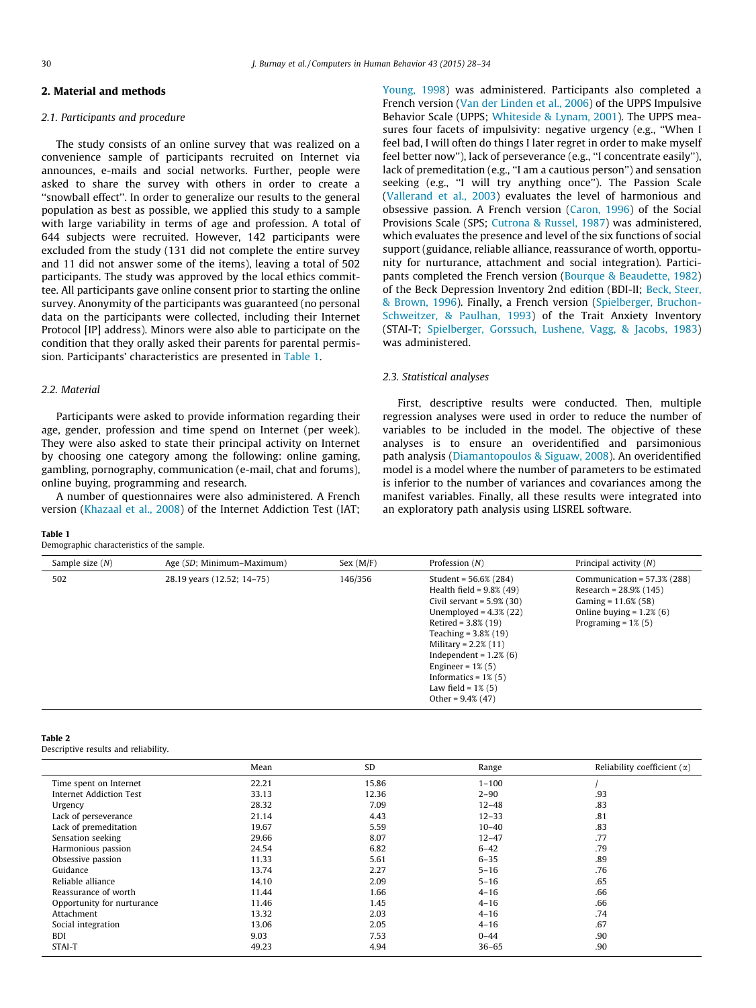## <span id="page-2-0"></span>2. Material and methods

#### 2.1. Participants and procedure

The study consists of an online survey that was realized on a convenience sample of participants recruited on Internet via announces, e-mails and social networks. Further, people were asked to share the survey with others in order to create a ''snowball effect''. In order to generalize our results to the general population as best as possible, we applied this study to a sample with large variability in terms of age and profession. A total of 644 subjects were recruited. However, 142 participants were excluded from the study (131 did not complete the entire survey and 11 did not answer some of the items), leaving a total of 502 participants. The study was approved by the local ethics committee. All participants gave online consent prior to starting the online survey. Anonymity of the participants was guaranteed (no personal data on the participants were collected, including their Internet Protocol [IP] address). Minors were also able to participate on the condition that they orally asked their parents for parental permission. Participants' characteristics are presented in Table 1.

#### 2.2. Material

Participants were asked to provide information regarding their age, gender, profession and time spend on Internet (per week). They were also asked to state their principal activity on Internet by choosing one category among the following: online gaming, gambling, pornography, communication (e-mail, chat and forums), online buying, programming and research.

A number of questionnaires were also administered. A French version ([Khazaal et al., 2008\)](#page-6-0) of the Internet Addiction Test (IAT;

#### Table 1

Demographic characteristics of the sample.

[Young, 1998](#page-6-0)) was administered. Participants also completed a French version ([Van der Linden et al., 2006](#page-6-0)) of the UPPS Impulsive Behavior Scale (UPPS; [Whiteside & Lynam, 2001\)](#page-6-0). The UPPS measures four facets of impulsivity: negative urgency (e.g., ''When I feel bad, I will often do things I later regret in order to make myself feel better now''), lack of perseverance (e.g., ''I concentrate easily''), lack of premeditation (e.g., ''I am a cautious person'') and sensation seeking (e.g., "I will try anything once"). The Passion Scale ([Vallerand et al., 2003](#page-6-0)) evaluates the level of harmonious and obsessive passion. A French version [\(Caron, 1996](#page-6-0)) of the Social Provisions Scale (SPS; [Cutrona & Russel, 1987](#page-6-0)) was administered, which evaluates the presence and level of the six functions of social support (guidance, reliable alliance, reassurance of worth, opportunity for nurturance, attachment and social integration). Participants completed the French version ([Bourque & Beaudette, 1982\)](#page-6-0) of the Beck Depression Inventory 2nd edition (BDI-II; [Beck, Steer,](#page-6-0) [& Brown, 1996\)](#page-6-0). Finally, a French version ([Spielberger, Bruchon-](#page-6-0)[Schweitzer, & Paulhan, 1993\)](#page-6-0) of the Trait Anxiety Inventory (STAI-T; [Spielberger, Gorssuch, Lushene, Vagg, & Jacobs, 1983\)](#page-6-0) was administered.

## 2.3. Statistical analyses

First, descriptive results were conducted. Then, multiple regression analyses were used in order to reduce the number of variables to be included in the model. The objective of these analyses is to ensure an overidentified and parsimonious path analysis ([Diamantopoulos & Siguaw, 2008\)](#page-6-0). An overidentified model is a model where the number of parameters to be estimated is inferior to the number of variances and covariances among the manifest variables. Finally, all these results were integrated into an exploratory path analysis using LISREL software.

| Sample size $(N)$ | Age (SD; Minimum-Maximum)  | Sex (M/F) | Profession (N)                                                                                                                                                                                                                                                                                                                        | Principal activity $(N)$                                                                                                                      |
|-------------------|----------------------------|-----------|---------------------------------------------------------------------------------------------------------------------------------------------------------------------------------------------------------------------------------------------------------------------------------------------------------------------------------------|-----------------------------------------------------------------------------------------------------------------------------------------------|
| 502               | 28.19 years (12.52; 14-75) | 146/356   | Student = $56.6\%$ (284)<br>Health field = $9.8\%$ (49)<br>Civil servant = $5.9\%$ (30)<br>Unemployed = $4.3\%$ (22)<br>Retired = $3.8\%$ (19)<br>Teaching = $3.8\%$ (19)<br>Military = $2.2\%$ (11)<br>Independent = $1.2\%$ (6)<br>Engineer = $1\%$ (5)<br>Informatics = $1\%$ (5)<br>Law field = $1\%$ (5)<br>Other = $9.4\%$ (47) | Communication = $57.3\%$ (288)<br>Research = $28.9%$ (145)<br>Gaming = $11.6\%$ (58)<br>Online buying = $1.2\%$ (6)<br>Programing = $1\%$ (5) |

#### Table 2

Descriptive results and reliability.

|                                | Mean  | <b>SD</b> | Range     | Reliability coefficient $(\alpha)$ |  |  |
|--------------------------------|-------|-----------|-----------|------------------------------------|--|--|
| Time spent on Internet         | 22.21 | 15.86     | $1 - 100$ |                                    |  |  |
| <b>Internet Addiction Test</b> | 33.13 | 12.36     | $2 - 90$  | .93                                |  |  |
| Urgency                        | 28.32 | 7.09      | $12 - 48$ | .83                                |  |  |
| Lack of perseverance           | 21.14 | 4.43      | $12 - 33$ | .81                                |  |  |
| Lack of premeditation          | 19.67 | 5.59      | $10 - 40$ | .83                                |  |  |
| Sensation seeking              | 29.66 | 8.07      | $12 - 47$ | .77                                |  |  |
| Harmonious passion             | 24.54 | 6.82      | $6 - 42$  | .79                                |  |  |
| Obsessive passion              | 11.33 | 5.61      | $6 - 35$  | .89                                |  |  |
| Guidance                       | 13.74 | 2.27      | $5 - 16$  | .76                                |  |  |
| Reliable alliance              | 14.10 | 2.09      | $5 - 16$  | .65                                |  |  |
| Reassurance of worth           | 11.44 | 1.66      | $4 - 16$  | .66                                |  |  |
| Opportunity for nurturance     | 11.46 | 1.45      | $4 - 16$  | .66                                |  |  |
| Attachment                     | 13.32 | 2.03      | $4 - 16$  | .74                                |  |  |
| Social integration             | 13.06 | 2.05      | $4 - 16$  | .67                                |  |  |
| <b>BDI</b>                     | 9.03  | 7.53      | $0 - 44$  | .90                                |  |  |
| STAI-T                         | 49.23 | 4.94      | $36 - 65$ | .90                                |  |  |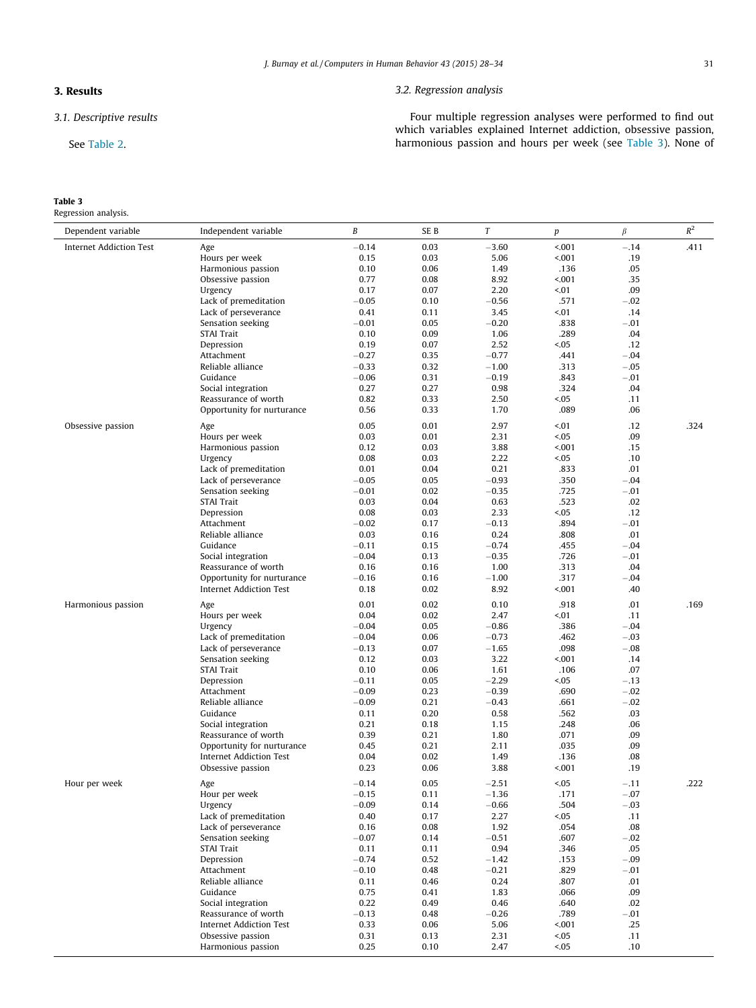## 3. Results

## 3.1. Descriptive results

See [Table 2](#page-2-0).

#### Table 3

 $\overline{\phantom{0}}$  $\overline{\phantom{a}}$ 

## Regression analysis.

| Dependent variable             | Independent variable                       | B               | SE B         | $\boldsymbol{T}$ | $\boldsymbol{p}$  | $\beta$       | $R^2$ |
|--------------------------------|--------------------------------------------|-----------------|--------------|------------------|-------------------|---------------|-------|
| <b>Internet Addiction Test</b> | Age                                        | $-0.14$         | 0.03         | $-3.60$          | < 0.001           | $-.14$        | .411  |
|                                | Hours per week                             | 0.15            | 0.03         | 5.06             | < 0.001           | .19           |       |
|                                | Harmonious passion<br>Obsessive passion    | 0.10<br>0.77    | 0.06<br>0.08 | 1.49<br>8.92     | .136<br>< .001    | .05<br>.35    |       |
|                                | Urgency                                    | 0.17            | 0.07         | 2.20             | 5.01              | .09           |       |
|                                | Lack of premeditation                      | $-0.05$         | 0.10         | $-0.56$          | .571              | $-.02$        |       |
|                                | Lack of perseverance                       | 0.41            | 0.11         | 3.45             | 5.01              | .14           |       |
|                                | Sensation seeking                          | $-0.01$         | 0.05         | $-0.20$          | .838              | $-.01$        |       |
|                                | STAI Trait                                 | 0.10            | 0.09         | 1.06             | .289              | .04           |       |
|                                | Depression                                 | 0.19            | 0.07         | 2.52             | $5 - .05$         | .12           |       |
|                                | Attachment                                 | $-0.27$         | 0.35         | $-0.77$          | .441              | $-.04$        |       |
|                                | Reliable alliance                          | $-0.33$         | 0.32         | $-1.00$          | .313              | $-.05$        |       |
|                                | Guidance                                   | $-0.06$         | 0.31         | $-0.19$          | .843              | $-.01$        |       |
|                                | Social integration                         | 0.27            | 0.27         | 0.98             | .324              | .04           |       |
|                                | Reassurance of worth                       | 0.82            | 0.33         | 2.50             | $5 - .05$         | .11           |       |
|                                | Opportunity for nurturance                 | 0.56            | 0.33         | 1.70             | .089              | .06           |       |
| Obsessive passion              | Age                                        | 0.05            | 0.01         | 2.97             | < 01              | .12           | .324  |
|                                | Hours per week                             | 0.03            | 0.01         | 2.31             | $5 - .05$         | .09           |       |
|                                | Harmonious passion                         | 0.12            | 0.03         | 3.88             | < 0.001           | .15           |       |
|                                | Urgency                                    | 0.08<br>0.01    | 0.03<br>0.04 | 2.22             | $5 - .05$<br>.833 | .10<br>.01    |       |
|                                | Lack of premeditation                      | $-0.05$         | 0.05         | 0.21<br>$-0.93$  | .350              | $-.04$        |       |
|                                | Lack of perseverance<br>Sensation seeking  | $-0.01$         | 0.02         | $-0.35$          | .725              | $-.01$        |       |
|                                | STAI Trait                                 | 0.03            | 0.04         | 0.63             | .523              | .02           |       |
|                                | Depression                                 | 0.08            | 0.03         | 2.33             | $5 - .05$         | .12           |       |
|                                | Attachment                                 | $-0.02$         | 0.17         | $-0.13$          | .894              | $-.01$        |       |
|                                | Reliable alliance                          | 0.03            | 0.16         | 0.24             | .808              | .01           |       |
|                                | Guidance                                   | $-0.11$         | 0.15         | $-0.74$          | .455              | $-.04$        |       |
|                                | Social integration                         | $-0.04$         | 0.13         | $-0.35$          | .726              | $-.01$        |       |
|                                | Reassurance of worth                       | 0.16            | 0.16         | 1.00             | .313              | .04           |       |
|                                | Opportunity for nurturance                 | $-0.16$         | 0.16         | $-1.00$          | .317              | $-.04$        |       |
|                                | <b>Internet Addiction Test</b>             | 0.18            | 0.02         | 8.92             | < 0.01            | .40           |       |
| Harmonious passion             | Age                                        | 0.01            | 0.02         | 0.10             | .918              | .01           | .169  |
|                                | Hours per week                             | 0.04            | 0.02         | 2.47             | 5.01              | .11           |       |
|                                | Urgency                                    | $-0.04$         | 0.05         | $-0.86$          | .386              | $-.04$        |       |
|                                | Lack of premeditation                      | $-0.04$         | 0.06         | $-0.73$          | .462              | $-.03$        |       |
|                                | Lack of perseverance                       | $-0.13$         | 0.07         | $-1.65$          | .098              | $-.08$        |       |
|                                | Sensation seeking                          | 0.12            | 0.03         | 3.22             | < 0.001           | .14           |       |
|                                | STAI Trait                                 | 0.10<br>$-0.11$ | 0.06<br>0.05 | 1.61<br>$-2.29$  | .106<br>$5 - .05$ | .07<br>$-.13$ |       |
|                                | Depression<br>Attachment                   | $-0.09$         | 0.23         | $-0.39$          | .690              | $-.02$        |       |
|                                | Reliable alliance                          | $-0.09$         | 0.21         | $-0.43$          | .661              | $-.02$        |       |
|                                | Guidance                                   | 0.11            | 0.20         | 0.58             | .562              | .03           |       |
|                                | Social integration                         | 0.21            | 0.18         | 1.15             | .248              | .06           |       |
|                                | Reassurance of worth                       | 0.39            | 0.21         | 1.80             | .071              | .09           |       |
|                                | Opportunity for nurturance                 | 0.45            | 0.21         | 2.11             | .035              | .09           |       |
|                                | <b>Internet Addiction Test</b>             | 0.04            | 0.02         | 1.49             | .136              | .08           |       |
|                                | Obsessive passion                          | 0.23            | 0.06         | 3.88             | < 0.01            | .19           |       |
| Hour per week                  | Age                                        | $-0.14$         | 0.05         | $-2.51$          | $5 - .05$         | $-.11$        | 222   |
|                                | Hour per week                              | $-0.15$         | 0.11         | $-1.36$          | .171              | $-.07$        |       |
|                                | Urgency                                    | $-0.09$         | 0.14         | $-0.66$          | .504              | $-.03$        |       |
|                                | Lack of premeditation                      | 0.40            | 0.17         | 2.27             | $5 - .05$         | .11           |       |
|                                | Lack of perseverance                       | 0.16            | 0.08         | 1.92             | .054              | .08           |       |
|                                | Sensation seeking                          | $-0.07$         | 0.14         | $-0.51$          | .607              | $-.02$        |       |
|                                | STAI Trait                                 | 0.11            | 0.11         | 0.94             | .346              | .05           |       |
|                                | Depression                                 | $-0.74$         | 0.52         | $-1.42$          | .153              | $-.09$        |       |
|                                | Attachment                                 | $-0.10$         | 0.48         | $-0.21$          | .829              | $-.01$        |       |
|                                | Reliable alliance                          | 0.11            | 0.46         | 0.24             | .807              | .01           |       |
|                                | Guidance                                   | 0.75            | 0.41         | 1.83             | .066              | .09           |       |
|                                | Social integration<br>Reassurance of worth | 0.22            | 0.49         | 0.46             | .640              | .02           |       |
|                                | <b>Internet Addiction Test</b>             | $-0.13$<br>0.33 | 0.48<br>0.06 | $-0.26$<br>5.06  | .789<br>< 0.01    | $-.01$<br>.25 |       |
|                                | Obsessive passion                          | 0.31            | 0.13         | 2.31             | $5 - .05$         | .11           |       |
|                                | Harmonious passion                         | 0.25            | 0.10         | 2.47             | $5 - .05$         | .10           |       |
|                                |                                            |                 |              |                  |                   |               |       |

## 3.2. Regression analysis

Four multiple regression analyses were performed to find out which variables explained Internet addiction, obsessive passion, harmonious passion and hours per week (see Table 3). None of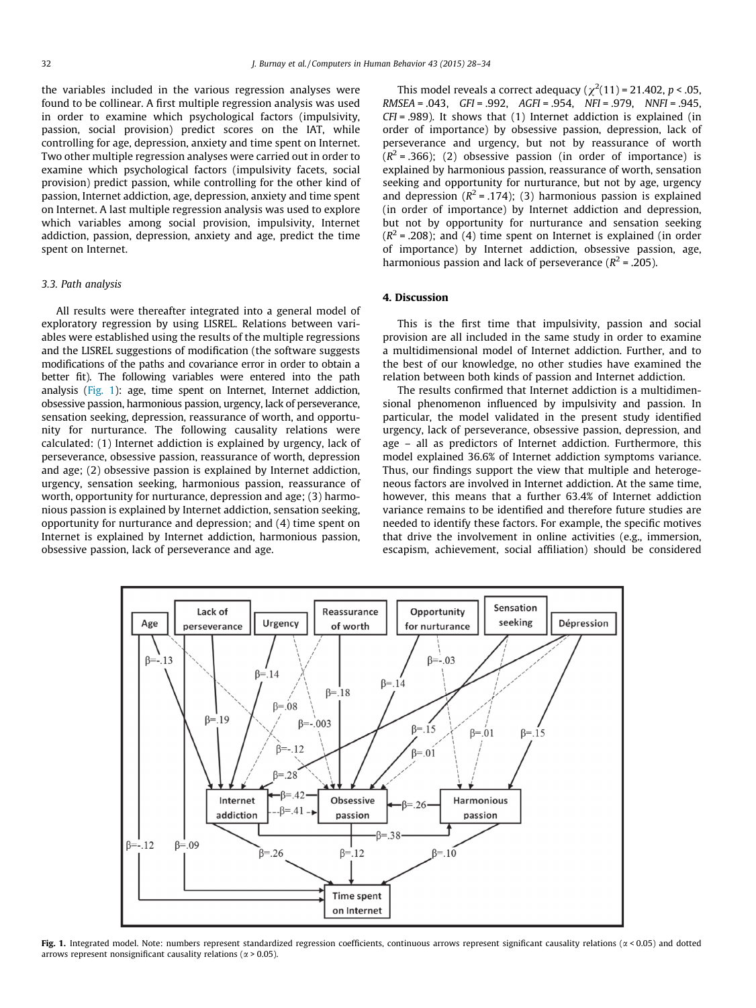the variables included in the various regression analyses were found to be collinear. A first multiple regression analysis was used in order to examine which psychological factors (impulsivity, passion, social provision) predict scores on the IAT, while controlling for age, depression, anxiety and time spent on Internet. Two other multiple regression analyses were carried out in order to examine which psychological factors (impulsivity facets, social provision) predict passion, while controlling for the other kind of passion, Internet addiction, age, depression, anxiety and time spent on Internet. A last multiple regression analysis was used to explore which variables among social provision, impulsivity, Internet addiction, passion, depression, anxiety and age, predict the time spent on Internet.

### 3.3. Path analysis

All results were thereafter integrated into a general model of exploratory regression by using LISREL. Relations between variables were established using the results of the multiple regressions and the LISREL suggestions of modification (the software suggests modifications of the paths and covariance error in order to obtain a better fit). The following variables were entered into the path analysis (Fig. 1): age, time spent on Internet, Internet addiction, obsessive passion, harmonious passion, urgency, lack of perseverance, sensation seeking, depression, reassurance of worth, and opportunity for nurturance. The following causality relations were calculated: (1) Internet addiction is explained by urgency, lack of perseverance, obsessive passion, reassurance of worth, depression and age; (2) obsessive passion is explained by Internet addiction, urgency, sensation seeking, harmonious passion, reassurance of worth, opportunity for nurturance, depression and age; (3) harmonious passion is explained by Internet addiction, sensation seeking, opportunity for nurturance and depression; and (4) time spent on Internet is explained by Internet addiction, harmonious passion, obsessive passion, lack of perseverance and age.

This model reveals a correct adequacy ( $\chi^2(11)$  = 21.402, p < .05, RMSEA = .043, GFI = .992, AGFI = .954, NFI = .979, NNFI = .945,  $CFI = .989$ ). It shows that (1) Internet addiction is explained (in order of importance) by obsessive passion, depression, lack of perseverance and urgency, but not by reassurance of worth  $(R<sup>2</sup> = .366)$ ; (2) obsessive passion (in order of importance) is explained by harmonious passion, reassurance of worth, sensation seeking and opportunity for nurturance, but not by age, urgency and depression ( $R^2$  = .174); (3) harmonious passion is explained (in order of importance) by Internet addiction and depression, but not by opportunity for nurturance and sensation seeking  $(R<sup>2</sup> = .208)$ ; and (4) time spent on Internet is explained (in order of importance) by Internet addiction, obsessive passion, age, harmonious passion and lack of perseverance ( $R^2$  = .205).

## 4. Discussion

This is the first time that impulsivity, passion and social provision are all included in the same study in order to examine a multidimensional model of Internet addiction. Further, and to the best of our knowledge, no other studies have examined the relation between both kinds of passion and Internet addiction.

The results confirmed that Internet addiction is a multidimensional phenomenon influenced by impulsivity and passion. In particular, the model validated in the present study identified urgency, lack of perseverance, obsessive passion, depression, and age – all as predictors of Internet addiction. Furthermore, this model explained 36.6% of Internet addiction symptoms variance. Thus, our findings support the view that multiple and heterogeneous factors are involved in Internet addiction. At the same time, however, this means that a further 63.4% of Internet addiction variance remains to be identified and therefore future studies are needed to identify these factors. For example, the specific motives that drive the involvement in online activities (e.g., immersion, escapism, achievement, social affiliation) should be considered



Fig. 1. Integrated model. Note: numbers represent standardized regression coefficients, continuous arrows represent significant causality relations ( $\alpha$  < 0.05) and dotted arrows represent nonsignificant causality relations ( $\alpha$  > 0.05).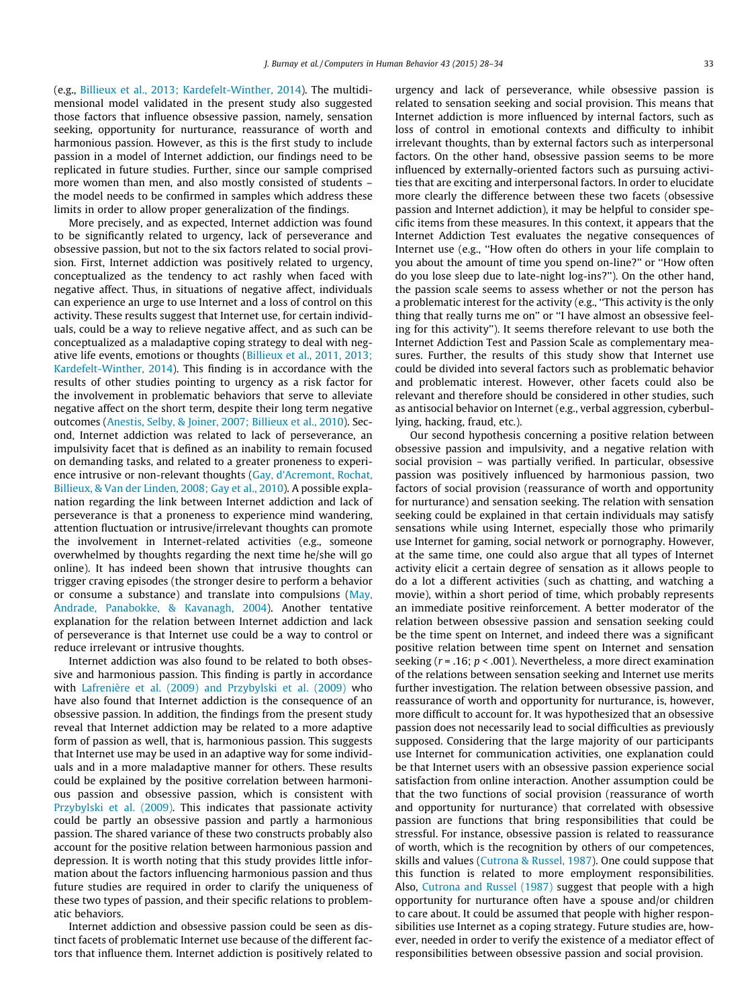(e.g., [Billieux et al., 2013; Kardefelt-Winther, 2014](#page-6-0)). The multidimensional model validated in the present study also suggested those factors that influence obsessive passion, namely, sensation seeking, opportunity for nurturance, reassurance of worth and harmonious passion. However, as this is the first study to include passion in a model of Internet addiction, our findings need to be replicated in future studies. Further, since our sample comprised more women than men, and also mostly consisted of students – the model needs to be confirmed in samples which address these limits in order to allow proper generalization of the findings.

More precisely, and as expected, Internet addiction was found to be significantly related to urgency, lack of perseverance and obsessive passion, but not to the six factors related to social provision. First, Internet addiction was positively related to urgency, conceptualized as the tendency to act rashly when faced with negative affect. Thus, in situations of negative affect, individuals can experience an urge to use Internet and a loss of control on this activity. These results suggest that Internet use, for certain individuals, could be a way to relieve negative affect, and as such can be conceptualized as a maladaptive coping strategy to deal with negative life events, emotions or thoughts [\(Billieux et al., 2011, 2013;](#page-6-0) [Kardefelt-Winther, 2014](#page-6-0)). This finding is in accordance with the results of other studies pointing to urgency as a risk factor for the involvement in problematic behaviors that serve to alleviate negative affect on the short term, despite their long term negative outcomes [\(Anestis, Selby, & Joiner, 2007; Billieux et al., 2010\)](#page-6-0). Second, Internet addiction was related to lack of perseverance, an impulsivity facet that is defined as an inability to remain focused on demanding tasks, and related to a greater proneness to experience intrusive or non-relevant thoughts ([Gay, d'Acremont, Rochat,](#page-6-0) [Billieux, & Van der Linden, 2008; Gay et al., 2010](#page-6-0)). A possible explanation regarding the link between Internet addiction and lack of perseverance is that a proneness to experience mind wandering, attention fluctuation or intrusive/irrelevant thoughts can promote the involvement in Internet-related activities (e.g., someone overwhelmed by thoughts regarding the next time he/she will go online). It has indeed been shown that intrusive thoughts can trigger craving episodes (the stronger desire to perform a behavior or consume a substance) and translate into compulsions [\(May,](#page-6-0) [Andrade, Panabokke, & Kavanagh, 2004](#page-6-0)). Another tentative explanation for the relation between Internet addiction and lack of perseverance is that Internet use could be a way to control or reduce irrelevant or intrusive thoughts.

Internet addiction was also found to be related to both obsessive and harmonious passion. This finding is partly in accordance with [Lafrenière et al. \(2009\) and Przybylski et al. \(2009\)](#page-6-0) who have also found that Internet addiction is the consequence of an obsessive passion. In addition, the findings from the present study reveal that Internet addiction may be related to a more adaptive form of passion as well, that is, harmonious passion. This suggests that Internet use may be used in an adaptive way for some individuals and in a more maladaptive manner for others. These results could be explained by the positive correlation between harmonious passion and obsessive passion, which is consistent with [Przybylski et al. \(2009\).](#page-6-0) This indicates that passionate activity could be partly an obsessive passion and partly a harmonious passion. The shared variance of these two constructs probably also account for the positive relation between harmonious passion and depression. It is worth noting that this study provides little information about the factors influencing harmonious passion and thus future studies are required in order to clarify the uniqueness of these two types of passion, and their specific relations to problematic behaviors.

Internet addiction and obsessive passion could be seen as distinct facets of problematic Internet use because of the different factors that influence them. Internet addiction is positively related to urgency and lack of perseverance, while obsessive passion is related to sensation seeking and social provision. This means that Internet addiction is more influenced by internal factors, such as loss of control in emotional contexts and difficulty to inhibit irrelevant thoughts, than by external factors such as interpersonal factors. On the other hand, obsessive passion seems to be more influenced by externally-oriented factors such as pursuing activities that are exciting and interpersonal factors. In order to elucidate more clearly the difference between these two facets (obsessive passion and Internet addiction), it may be helpful to consider specific items from these measures. In this context, it appears that the Internet Addiction Test evaluates the negative consequences of Internet use (e.g., ''How often do others in your life complain to you about the amount of time you spend on-line?'' or ''How often do you lose sleep due to late-night log-ins?''). On the other hand, the passion scale seems to assess whether or not the person has a problematic interest for the activity (e.g., ''This activity is the only thing that really turns me on'' or ''I have almost an obsessive feeling for this activity''). It seems therefore relevant to use both the Internet Addiction Test and Passion Scale as complementary measures. Further, the results of this study show that Internet use could be divided into several factors such as problematic behavior and problematic interest. However, other facets could also be relevant and therefore should be considered in other studies, such as antisocial behavior on Internet (e.g., verbal aggression, cyberbullying, hacking, fraud, etc.).

Our second hypothesis concerning a positive relation between obsessive passion and impulsivity, and a negative relation with social provision – was partially verified. In particular, obsessive passion was positively influenced by harmonious passion, two factors of social provision (reassurance of worth and opportunity for nurturance) and sensation seeking. The relation with sensation seeking could be explained in that certain individuals may satisfy sensations while using Internet, especially those who primarily use Internet for gaming, social network or pornography. However, at the same time, one could also argue that all types of Internet activity elicit a certain degree of sensation as it allows people to do a lot a different activities (such as chatting, and watching a movie), within a short period of time, which probably represents an immediate positive reinforcement. A better moderator of the relation between obsessive passion and sensation seeking could be the time spent on Internet, and indeed there was a significant positive relation between time spent on Internet and sensation seeking ( $r = .16$ ;  $p < .001$ ). Nevertheless, a more direct examination of the relations between sensation seeking and Internet use merits further investigation. The relation between obsessive passion, and reassurance of worth and opportunity for nurturance, is, however, more difficult to account for. It was hypothesized that an obsessive passion does not necessarily lead to social difficulties as previously supposed. Considering that the large majority of our participants use Internet for communication activities, one explanation could be that Internet users with an obsessive passion experience social satisfaction from online interaction. Another assumption could be that the two functions of social provision (reassurance of worth and opportunity for nurturance) that correlated with obsessive passion are functions that bring responsibilities that could be stressful. For instance, obsessive passion is related to reassurance of worth, which is the recognition by others of our competences, skills and values ([Cutrona & Russel, 1987](#page-6-0)). One could suppose that this function is related to more employment responsibilities. Also, [Cutrona and Russel \(1987\)](#page-6-0) suggest that people with a high opportunity for nurturance often have a spouse and/or children to care about. It could be assumed that people with higher responsibilities use Internet as a coping strategy. Future studies are, however, needed in order to verify the existence of a mediator effect of responsibilities between obsessive passion and social provision.